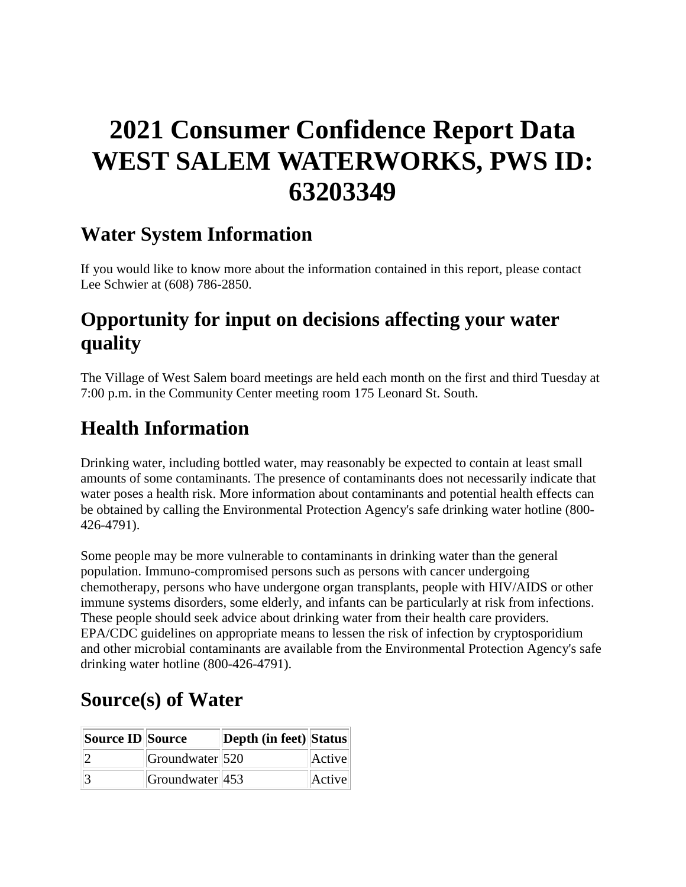# **2021 Consumer Confidence Report Data WEST SALEM WATERWORKS, PWS ID: 63203349**

### **Water System Information**

If you would like to know more about the information contained in this report, please contact Lee Schwier at (608) 786-2850.

## **Opportunity for input on decisions affecting your water quality**

The Village of West Salem board meetings are held each month on the first and third Tuesday at 7:00 p.m. in the Community Center meeting room 175 Leonard St. South.

# **Health Information**

Drinking water, including bottled water, may reasonably be expected to contain at least small amounts of some contaminants. The presence of contaminants does not necessarily indicate that water poses a health risk. More information about contaminants and potential health effects can be obtained by calling the Environmental Protection Agency's safe drinking water hotline (800- 426-4791).

Some people may be more vulnerable to contaminants in drinking water than the general population. Immuno-compromised persons such as persons with cancer undergoing chemotherapy, persons who have undergone organ transplants, people with HIV/AIDS or other immune systems disorders, some elderly, and infants can be particularly at risk from infections. These people should seek advice about drinking water from their health care providers. EPA/CDC guidelines on appropriate means to lessen the risk of infection by cryptosporidium and other microbial contaminants are available from the Environmental Protection Agency's safe drinking water hotline (800-426-4791).

# **Source(s) of Water**

| Source ID Source |                        | Depth (in feet) Status |        |
|------------------|------------------------|------------------------|--------|
|                  | Groundwater 520        |                        | Active |
|                  | $ G$ roundwater $ 453$ |                        | Active |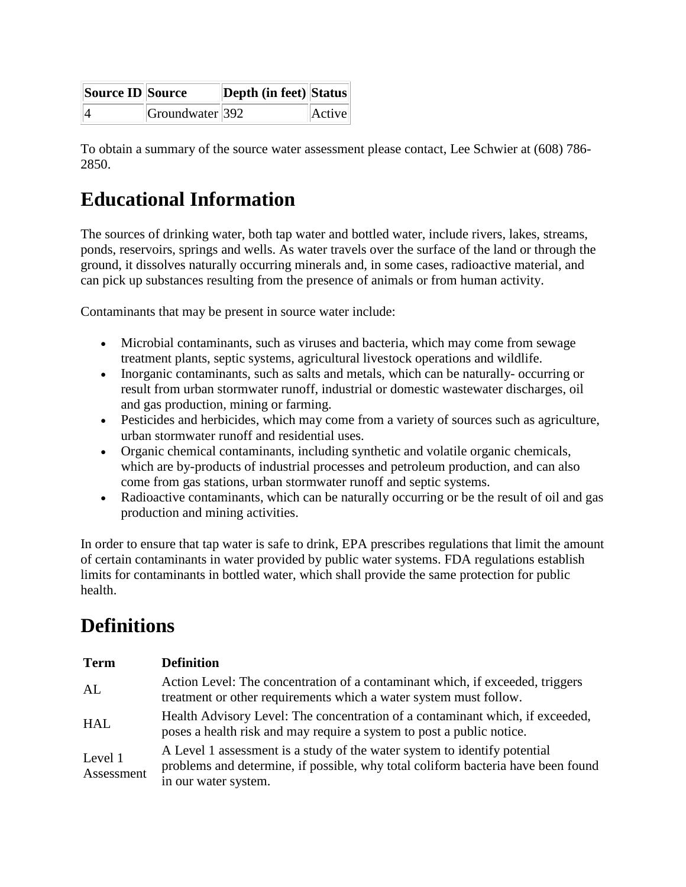| Source <b>ID</b> Source |                 | <b>Depth (in feet) Status</b> |        |
|-------------------------|-----------------|-------------------------------|--------|
|                         | Groundwater 392 |                               | Active |

To obtain a summary of the source water assessment please contact, Lee Schwier at (608) 786- 2850.

### **Educational Information**

The sources of drinking water, both tap water and bottled water, include rivers, lakes, streams, ponds, reservoirs, springs and wells. As water travels over the surface of the land or through the ground, it dissolves naturally occurring minerals and, in some cases, radioactive material, and can pick up substances resulting from the presence of animals or from human activity.

Contaminants that may be present in source water include:

- Microbial contaminants, such as viruses and bacteria, which may come from sewage treatment plants, septic systems, agricultural livestock operations and wildlife.
- Inorganic contaminants, such as salts and metals, which can be naturally- occurring or result from urban stormwater runoff, industrial or domestic wastewater discharges, oil and gas production, mining or farming.
- Pesticides and herbicides, which may come from a variety of sources such as agriculture, urban stormwater runoff and residential uses.
- Organic chemical contaminants, including synthetic and volatile organic chemicals, which are by-products of industrial processes and petroleum production, and can also come from gas stations, urban stormwater runoff and septic systems.
- Radioactive contaminants, which can be naturally occurring or be the result of oil and gas production and mining activities.

In order to ensure that tap water is safe to drink, EPA prescribes regulations that limit the amount of certain contaminants in water provided by public water systems. FDA regulations establish limits for contaminants in bottled water, which shall provide the same protection for public health.

# **Definitions**

| <b>Term</b>           | <b>Definition</b>                                                                                                                                                                     |
|-----------------------|---------------------------------------------------------------------------------------------------------------------------------------------------------------------------------------|
| AL                    | Action Level: The concentration of a contaminant which, if exceeded, triggers<br>treatment or other requirements which a water system must follow.                                    |
| <b>HAL</b>            | Health Advisory Level: The concentration of a contaminant which, if exceeded,<br>poses a health risk and may require a system to post a public notice.                                |
| Level 1<br>Assessment | A Level 1 assessment is a study of the water system to identify potential<br>problems and determine, if possible, why total coliform bacteria have been found<br>in our water system. |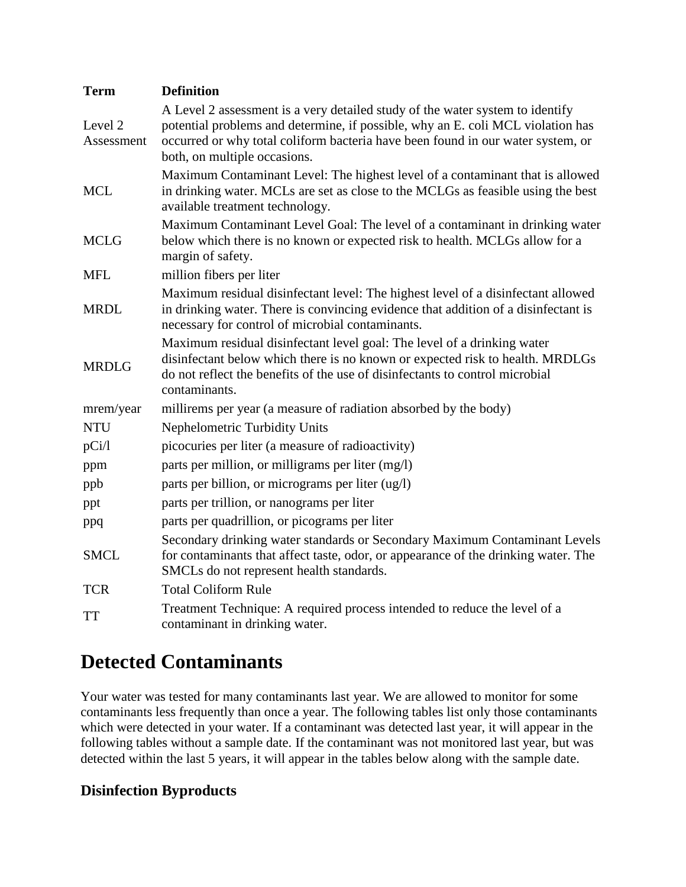| <b>Term</b>           | <b>Definition</b>                                                                                                                                                                                                                                                                   |
|-----------------------|-------------------------------------------------------------------------------------------------------------------------------------------------------------------------------------------------------------------------------------------------------------------------------------|
| Level 2<br>Assessment | A Level 2 assessment is a very detailed study of the water system to identify<br>potential problems and determine, if possible, why an E. coli MCL violation has<br>occurred or why total coliform bacteria have been found in our water system, or<br>both, on multiple occasions. |
| <b>MCL</b>            | Maximum Contaminant Level: The highest level of a contaminant that is allowed<br>in drinking water. MCLs are set as close to the MCLGs as feasible using the best<br>available treatment technology.                                                                                |
| <b>MCLG</b>           | Maximum Contaminant Level Goal: The level of a contaminant in drinking water<br>below which there is no known or expected risk to health. MCLGs allow for a<br>margin of safety.                                                                                                    |
| <b>MFL</b>            | million fibers per liter                                                                                                                                                                                                                                                            |
| <b>MRDL</b>           | Maximum residual disinfectant level: The highest level of a disinfectant allowed<br>in drinking water. There is convincing evidence that addition of a disinfectant is<br>necessary for control of microbial contaminants.                                                          |
| <b>MRDLG</b>          | Maximum residual disinfectant level goal: The level of a drinking water<br>disinfectant below which there is no known or expected risk to health. MRDLGs<br>do not reflect the benefits of the use of disinfectants to control microbial<br>contaminants.                           |
| mrem/year             | millirems per year (a measure of radiation absorbed by the body)                                                                                                                                                                                                                    |
| <b>NTU</b>            | Nephelometric Turbidity Units                                                                                                                                                                                                                                                       |
| pCi/l                 | picocuries per liter (a measure of radioactivity)                                                                                                                                                                                                                                   |
| ppm                   | parts per million, or milligrams per liter (mg/l)                                                                                                                                                                                                                                   |
| ppb                   | parts per billion, or micrograms per liter (ug/l)                                                                                                                                                                                                                                   |
| ppt                   | parts per trillion, or nanograms per liter                                                                                                                                                                                                                                          |
| ppq                   | parts per quadrillion, or picograms per liter                                                                                                                                                                                                                                       |
| <b>SMCL</b>           | Secondary drinking water standards or Secondary Maximum Contaminant Levels<br>for contaminants that affect taste, odor, or appearance of the drinking water. The<br>SMCLs do not represent health standards.                                                                        |
| <b>TCR</b>            | <b>Total Coliform Rule</b>                                                                                                                                                                                                                                                          |
| <b>TT</b>             | Treatment Technique: A required process intended to reduce the level of a<br>contaminant in drinking water.                                                                                                                                                                         |

### **Detected Contaminants**

Your water was tested for many contaminants last year. We are allowed to monitor for some contaminants less frequently than once a year. The following tables list only those contaminants which were detected in your water. If a contaminant was detected last year, it will appear in the following tables without a sample date. If the contaminant was not monitored last year, but was detected within the last 5 years, it will appear in the tables below along with the sample date.

#### **Disinfection Byproducts**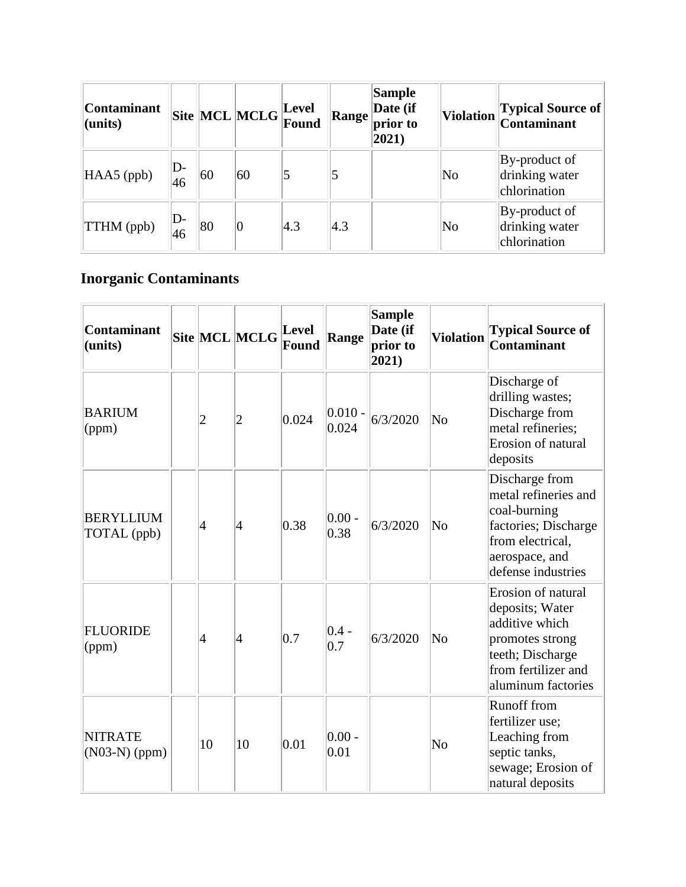| <b>Contaminant</b><br>$ $ (units) |          |    |                | $\ \text{Site}\ $ MCL $\ \text{MCLG}\ _{\text{Found}}^{\text{Lever}}$ | <b>Range</b> | <b>Sample</b><br>Date (if<br>prior to<br>$ 2021\rangle$ | <b>Violation</b>       | Typical Source of<br>Contaminant                |
|-----------------------------------|----------|----|----------------|-----------------------------------------------------------------------|--------------|---------------------------------------------------------|------------------------|-------------------------------------------------|
| $HAAS$ (ppb)                      | D-<br>46 | 60 | 60             |                                                                       |              |                                                         | $\overline{\text{No}}$ | By-product of<br>drinking water<br>chlorination |
| $\ TTHM$ (ppb)                    | D-<br>46 | 80 | $\overline{0}$ | $ 4.3\rangle$                                                         | 4.3          |                                                         | $\overline{\text{No}}$ | By-product of<br>drinking water<br>chlorination |

### **Inorganic Contaminants**

| <b>Contaminant</b><br>(units)     |                 | Site MCL MCLG  | <b>Level</b><br>Found | Range              | <b>Sample</b><br>Date (if<br>prior to<br>2021) | <b>Violation</b>       | <b>Typical Source of</b><br>Contaminant                                                                                                     |
|-----------------------------------|-----------------|----------------|-----------------------|--------------------|------------------------------------------------|------------------------|---------------------------------------------------------------------------------------------------------------------------------------------|
| <b>BARIUM</b><br>(ppm)            | $\overline{c}$  | $\overline{2}$ | 0.024                 | $0.010 -$<br>0.024 | 6/3/2020                                       | $\overline{\text{No}}$ | Discharge of<br>drilling wastes;<br>Discharge from<br>metal refineries;<br>Erosion of natural<br>deposits                                   |
| <b>BERYLLIUM</b><br>TOTAL (ppb)   | 4               | 4              | 0.38                  | $0.00 -$<br>0.38   | 6/3/2020                                       | N <sub>0</sub>         | Discharge from<br>metal refineries and<br>coal-burning<br>factories; Discharge<br>from electrical,<br>aerospace, and<br>defense industries  |
| <b>FLUORIDE</b><br>(ppm)          | $\vert 4 \vert$ | 4              | 0.7                   | $ 0.4 -$<br>0.7    | 6/3/2020                                       | $\overline{\text{No}}$ | Erosion of natural<br>deposits; Water<br>additive which<br>promotes strong<br>teeth; Discharge<br>from fertilizer and<br>aluminum factories |
| <b>NITRATE</b><br>$(N03-N)$ (ppm) | 10              | 10             | 0.01                  | $0.00 -$<br>0.01   |                                                | N <sub>0</sub>         | <b>Runoff</b> from<br>fertilizer use;<br>Leaching from<br>septic tanks,<br>sewage; Erosion of<br>natural deposits                           |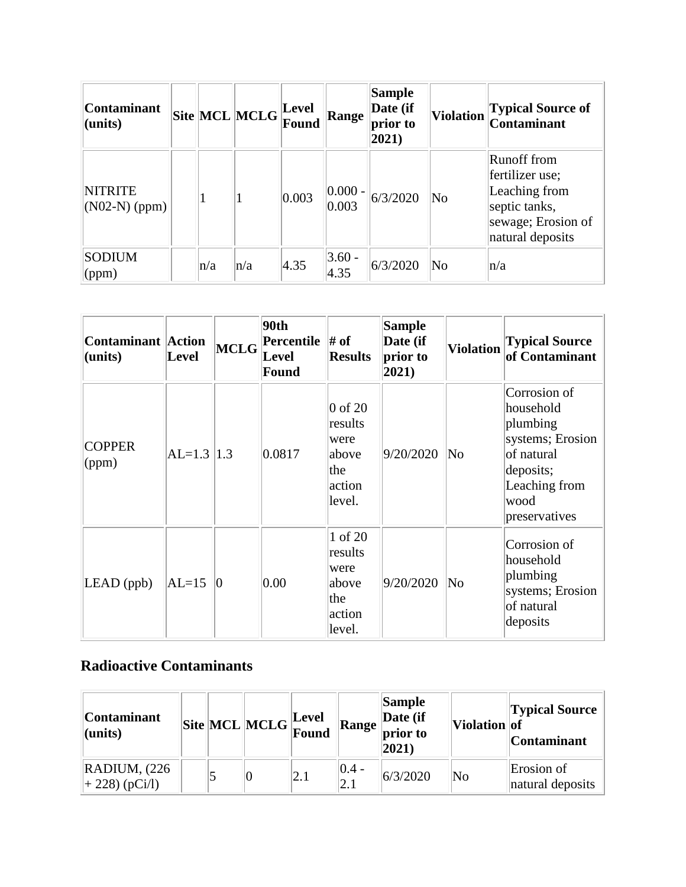| <b>Contaminant</b><br>$ $ (units) |     | $\left \text{Site}\right \!\text{MCL}\right \!\text{MCLG}\right $ | Level<br>Found | <b>Range</b>        | <b>Sample</b><br>Date (if<br>prior to<br>$ 2021\rangle$ | <b>Violation</b> | <b>Typical Source of</b><br><b>Contaminant</b>                                                                    |
|-----------------------------------|-----|-------------------------------------------------------------------|----------------|---------------------|---------------------------------------------------------|------------------|-------------------------------------------------------------------------------------------------------------------|
| <b>NITRITE</b><br>$(NO2-N)$ (ppm) |     |                                                                   | 0.003          | $ 0.000 -$<br>0.003 | 6/3/2020                                                | No               | <b>Runoff</b> from<br>fertilizer use;<br>Leaching from<br>septic tanks,<br>sewage; Erosion of<br>natural deposits |
| <b>SODIUM</b><br>$\gamma$ (ppm)   | n/a | $\ln/a$                                                           | 4.35           | $3.60 -$<br>4.35    | 6/3/2020                                                | No               | $\ln/a$                                                                                                           |

| <b>Contaminant Action</b><br>(units) | <b>Level</b>   | MCLG | 90th<br><b>Percentile</b> $\#$ of<br>Level<br>Found | <b>Results</b>                                                          | <b>Sample</b><br>Date (if<br>prior to<br>$ 2021\rangle$ | <b>Violation</b> | <b>Typical Source</b><br>of Contaminant                                                                                        |
|--------------------------------------|----------------|------|-----------------------------------------------------|-------------------------------------------------------------------------|---------------------------------------------------------|------------------|--------------------------------------------------------------------------------------------------------------------------------|
| <b>COPPER</b><br>(ppm)               | $AL=1.3$   1.3 |      | 0.0817                                              | $\vert 0$ of 20<br>results<br>were<br>labove<br>the<br>action<br>level. | 9/20/2020                                               | No               | Corrosion of<br>household<br>plumbing<br>systems; Erosion<br>of natural<br>deposits;<br>Leaching from<br>wood<br>preservatives |
| $LEAD$ (ppb)                         | $AL=15$        | Ю    | 0.00                                                | 1 of 20<br>results<br>were<br>above<br>the<br>action<br>level.          | 9/20/2020                                               | No               | Corrosion of<br>household<br>plumbing<br>systems; Erosion<br>of natural<br>deposits                                            |

#### **Radioactive Contaminants**

| <b>Contaminant</b><br>$ $ (units)                     |  | $\boxed{\text{Site}}\boxed{\text{MCL}}\boxed{\text{MCLG}}\boxed{\text{Level}}$ |     | <b>Range</b>    | Sample<br>Date (if<br>$\vert$ prior to<br>$ 2021\rangle$ | Violation of | <b>Typical Source</b><br><b>Contaminant</b> |
|-------------------------------------------------------|--|--------------------------------------------------------------------------------|-----|-----------------|----------------------------------------------------------|--------------|---------------------------------------------|
| $\overline{\text{RADIUM}}$ , (226<br>$ +228($ (pCi/l) |  |                                                                                | 2.1 | $ 0.4 -$<br>2.1 | 6/3/2020                                                 | $\rm No$     | Erosion of<br>natural deposits              |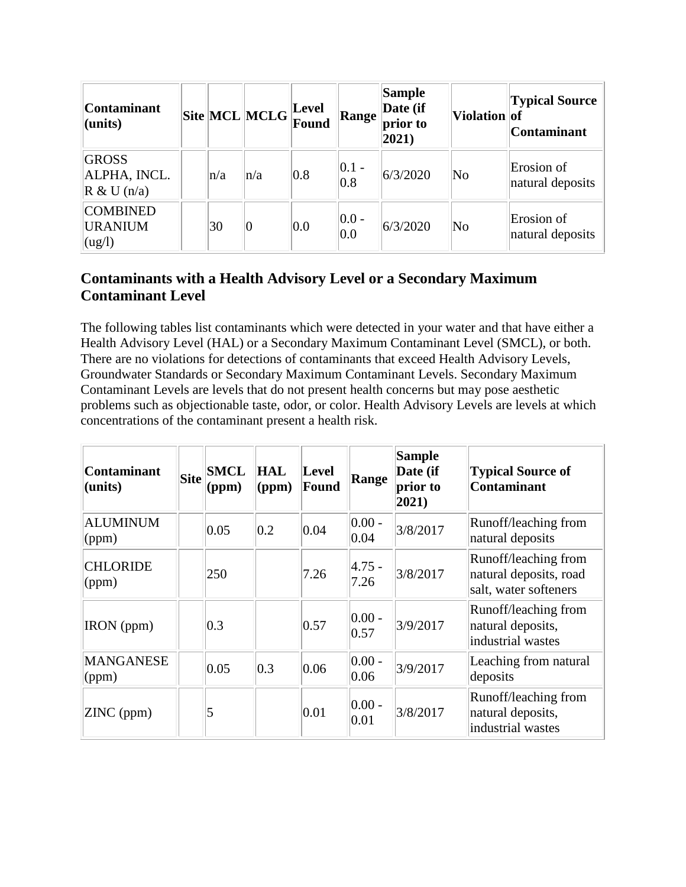| <b>Contaminant</b><br>$l$ (units)                        |         | Site MCL MCLG Eevel |     | Range            | <b>Sample</b><br>Date (if<br>prior to<br>$ 2021\rangle$ | Violation of           | <b>Typical Source</b><br>Contaminant |
|----------------------------------------------------------|---------|---------------------|-----|------------------|---------------------------------------------------------|------------------------|--------------------------------------|
| <b>GROSS</b><br>ALPHA, INCL.<br>$\mathbb{R}$ & U (n/a)   | $\ln/a$ | n/a                 | 0.8 | $ 0.1 -$<br> 0.8 | 6/3/2020                                                | $\overline{\text{No}}$ | Erosion of<br>natural deposits       |
| <b>COMBINED</b><br><b>URANIUM</b><br>$\log$ <sup>1</sup> | 30      | 0                   | 0.0 | $ 0.0 -$<br> 0.0 | 6/3/2020                                                | $\overline{\text{No}}$ | Erosion of<br>natural deposits       |

#### **Contaminants with a Health Advisory Level or a Secondary Maximum Contaminant Level**

The following tables list contaminants which were detected in your water and that have either a Health Advisory Level (HAL) or a Secondary Maximum Contaminant Level (SMCL), or both. There are no violations for detections of contaminants that exceed Health Advisory Levels, Groundwater Standards or Secondary Maximum Contaminant Levels. Secondary Maximum Contaminant Levels are levels that do not present health concerns but may pose aesthetic problems such as objectionable taste, odor, or color. Health Advisory Levels are levels at which concentrations of the contaminant present a health risk.

| <b>Contaminant</b><br>$l$ (units) | <b>Site</b> | <b>SMCL</b><br>(ppm) | <b>HAL</b><br>(ppm) | Level<br>Found | Range              | <b>Sample</b><br>Date (if<br>prior to<br>$ 2021\rangle$ | <b>Typical Source of</b><br><b>Contaminant</b>                          |
|-----------------------------------|-------------|----------------------|---------------------|----------------|--------------------|---------------------------------------------------------|-------------------------------------------------------------------------|
| <b>ALUMINUM</b><br>$\gamma$ (ppm) |             | 0.05                 | 0.2                 | 0.04           | $ 0.00 -$<br> 0.04 | 3/8/2017                                                | Runoff/leaching from<br>natural deposits                                |
| <b>CHLORIDE</b><br>(ppm)          |             | 250                  |                     | 7.26           | $ 4.75 -$<br>7.26  | 3/8/2017                                                | Runoff/leaching from<br>natural deposits, road<br>salt, water softeners |
| <b>IRON</b> (ppm)                 |             | 0.3                  |                     | 0.57           | $ 0.00 -$<br> 0.57 | 3/9/2017                                                | Runoff/leaching from<br>natural deposits,<br>industrial wastes          |
| <b>MANGANESE</b><br>(ppm)         |             | 0.05                 | 0.3                 | 0.06           | $ 0.00 -$<br> 0.06 | 3/9/2017                                                | Leaching from natural<br>deposits                                       |
| ZINC (ppm)                        |             | 5                    |                     | 0.01           | $ 0.00 -$<br> 0.01 | 3/8/2017                                                | Runoff/leaching from<br>natural deposits,<br>industrial wastes          |